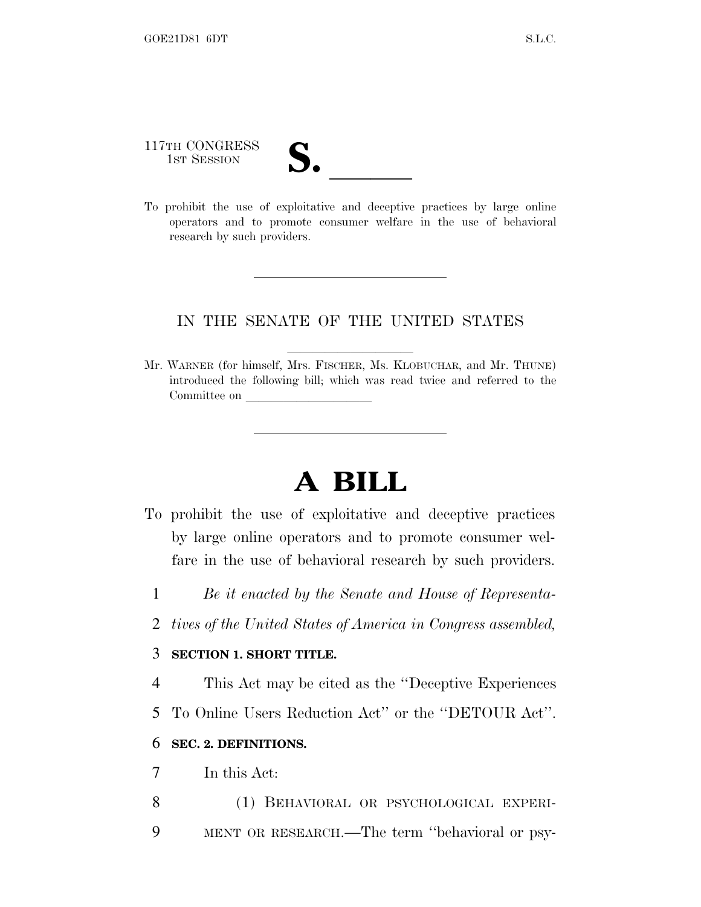117TH CONGRESS 117TH CONGRESS<br>
1ST SESSION<br>
To prohibit the use of exploitative and deceptive practices by large online

operators and to promote consumer welfare in the use of behavioral research by such providers.

## IN THE SENATE OF THE UNITED STATES

Mr. WARNER (for himself, Mrs. FISCHER, Ms. KLOBUCHAR, and Mr. THUNE) introduced the following bill; which was read twice and referred to the Committee on

## **A BILL**

- To prohibit the use of exploitative and deceptive practices by large online operators and to promote consumer welfare in the use of behavioral research by such providers.
	- 1 *Be it enacted by the Senate and House of Representa-*
	- 2 *tives of the United States of America in Congress assembled,*

## 3 **SECTION 1. SHORT TITLE.**

- 4 This Act may be cited as the ''Deceptive Experiences
- 5 To Online Users Reduction Act'' or the ''DETOUR Act''.

## 6 **SEC. 2. DEFINITIONS.**

- 7 In this Act:
- 8 (1) BEHAVIORAL OR PSYCHOLOGICAL EXPERI-9 MENT OR RESEARCH.—The term ''behavioral or psy-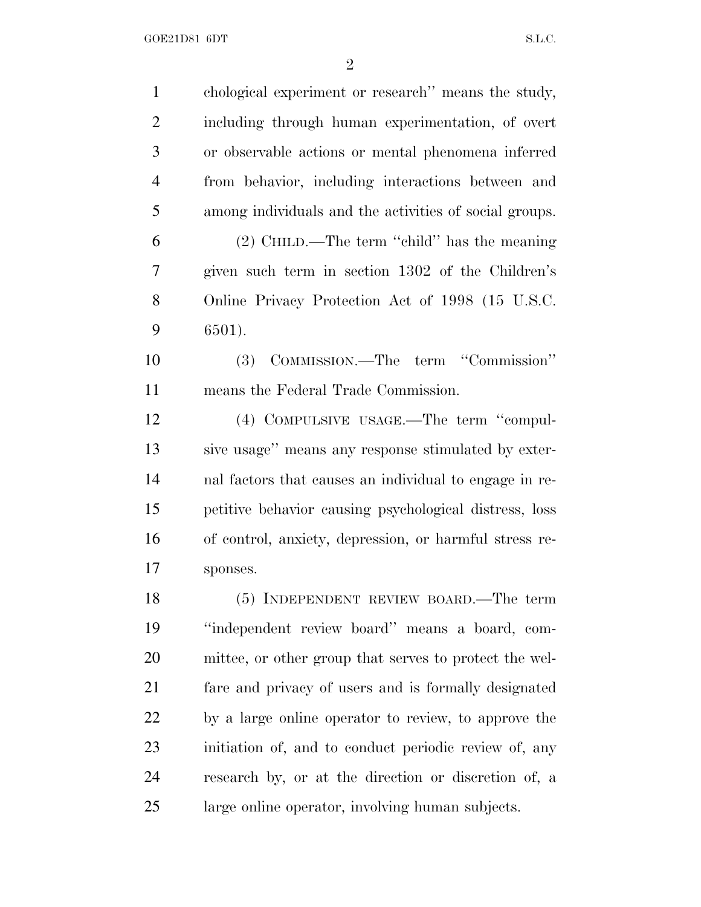| $\mathbf{1}$   | chological experiment or research" means the study,    |
|----------------|--------------------------------------------------------|
| $\overline{2}$ | including through human experimentation, of overt      |
| 3              | or observable actions or mental phenomena inferred     |
| $\overline{4}$ | from behavior, including interactions between and      |
| 5              | among individuals and the activities of social groups. |
| 6              | $(2)$ CHILD.—The term "child" has the meaning          |
| 7              | given such term in section 1302 of the Children's      |
| 8              | Online Privacy Protection Act of 1998 (15 U.S.C.       |
| 9              | 6501).                                                 |
| 10             | COMMISSION.—The term "Commission"<br><b>(3)</b>        |
| 11             | means the Federal Trade Commission.                    |
| 12             | (4) COMPULSIVE USAGE.—The term "compul-                |
| 13             | sive usage" means any response stimulated by exter-    |
| 14             | nal factors that causes an individual to engage in re- |
| 15             | petitive behavior causing psychological distress, loss |
| 16             | of control, anxiety, depression, or harmful stress re- |
| 17             | sponses.                                               |
| 18             | $(5)$ INDEPENDENT REVIEW BOARD.—The term               |
| 19             | "independent review board" means a board, com-         |
| 20             | mittee, or other group that serves to protect the wel- |
| 21             | fare and privacy of users and is formally designated   |
| 22             | by a large online operator to review, to approve the   |
| 23             | initiation of, and to conduct periodic review of, any  |
| 24             | research by, or at the direction or discretion of, a   |
| 25             | large online operator, involving human subjects.       |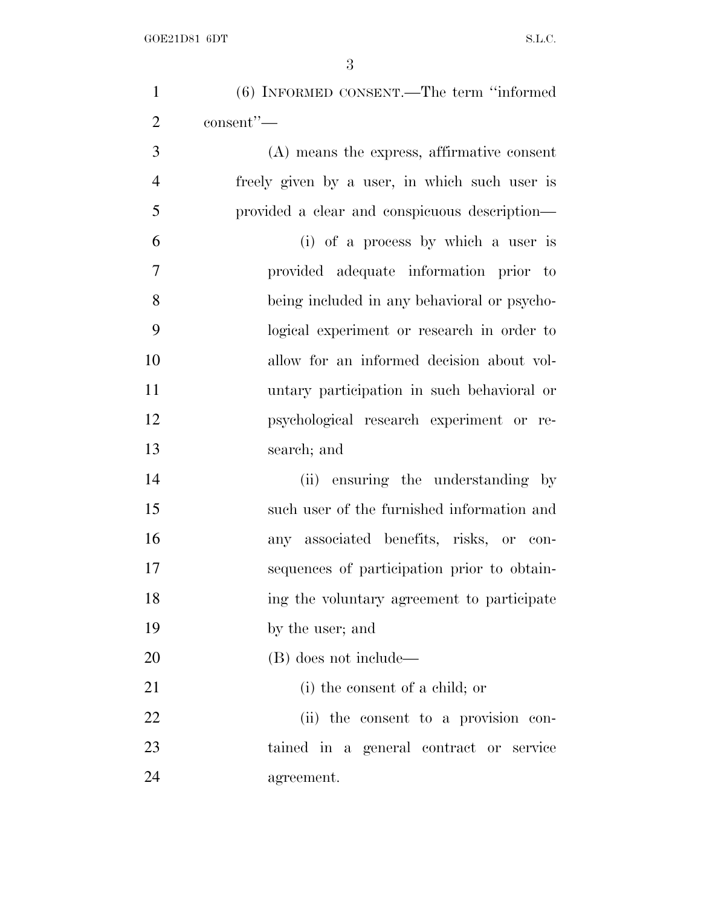| $\mathbf{1}$   | (6) INFORMED CONSENT.—The term "informed      |
|----------------|-----------------------------------------------|
| $\overline{2}$ | consent"-                                     |
| 3              | (A) means the express, affirmative consent    |
| $\overline{4}$ | freely given by a user, in which such user is |
| 5              | provided a clear and conspicuous description— |
| 6              | (i) of a process by which a user is           |
| $\overline{7}$ | provided adequate information prior to        |
| 8              | being included in any behavioral or psycho-   |
| 9              | logical experiment or research in order to    |
| 10             | allow for an informed decision about vol-     |
| 11             | untary participation in such behavioral or    |
| 12             | psychological research experiment or re-      |
| 13             | search; and                                   |
| 14             | (ii) ensuring the understanding by            |
| 15             | such user of the furnished information and    |
| 16             | any associated benefits, risks, or con-       |
| 17             | sequences of participation prior to obtain-   |
| 18             | ing the voluntary agreement to participate    |
| 19             | by the user; and                              |
| 20             | (B) does not include—                         |
| 21             | (i) the consent of a child; or                |
| 22             | (ii) the consent to a provision con-          |
| 23             | tained in a general contract or service       |
| 24             | agreement.                                    |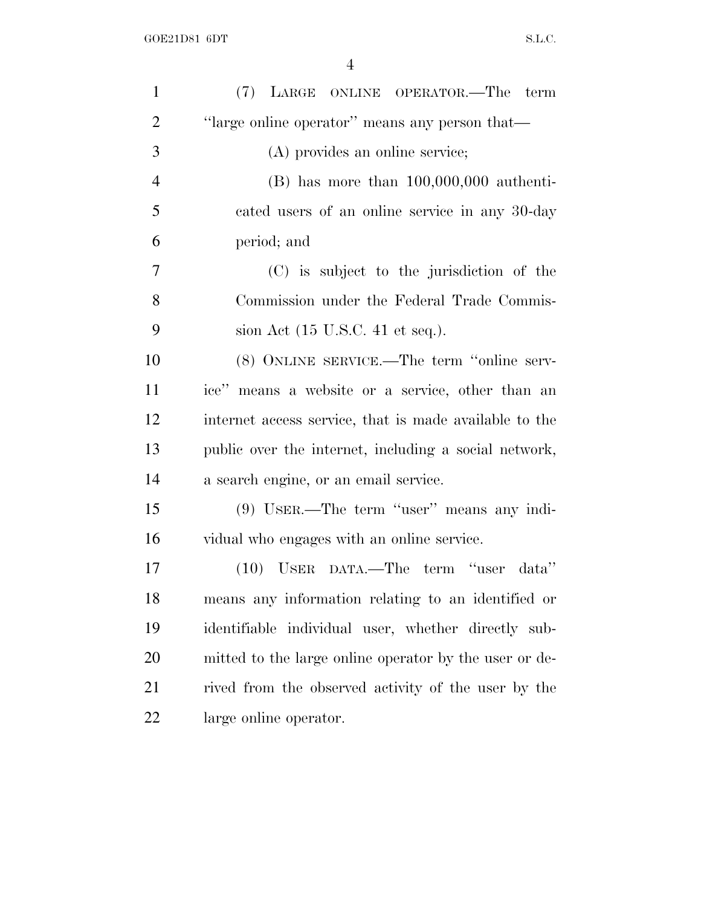| $\mathbf{1}$   | (7) LARGE ONLINE OPERATOR.—The term                    |
|----------------|--------------------------------------------------------|
| $\overline{2}$ | "large online operator" means any person that—         |
| 3              | (A) provides an online service;                        |
| $\overline{4}$ | $(B)$ has more than $100,000,000$ authenti-            |
| 5              | cated users of an online service in any 30-day         |
| 6              | period; and                                            |
| $\overline{7}$ | (C) is subject to the jurisdiction of the              |
| 8              | Commission under the Federal Trade Commis-             |
| 9              | sion Act (15 U.S.C. 41 et seq.).                       |
| 10             | (8) ONLINE SERVICE.—The term "online serv-             |
| 11             | ice" means a website or a service, other than an       |
| 12             | internet access service, that is made available to the |
| 13             | public over the internet, including a social network,  |
| 14             | a search engine, or an email service.                  |
| 15             | $(9)$ USER.—The term "user" means any indi-            |
| 16             | vidual who engages with an online service.             |
| 17             | (10) USER DATA.—The term "user data"                   |
| 18             | means any information relating to an identified or     |
| 19             | identifiable individual user, whether directly sub-    |
| 20             | mitted to the large online operator by the user or de- |
| 21             | rived from the observed activity of the user by the    |
| 22             | large online operator.                                 |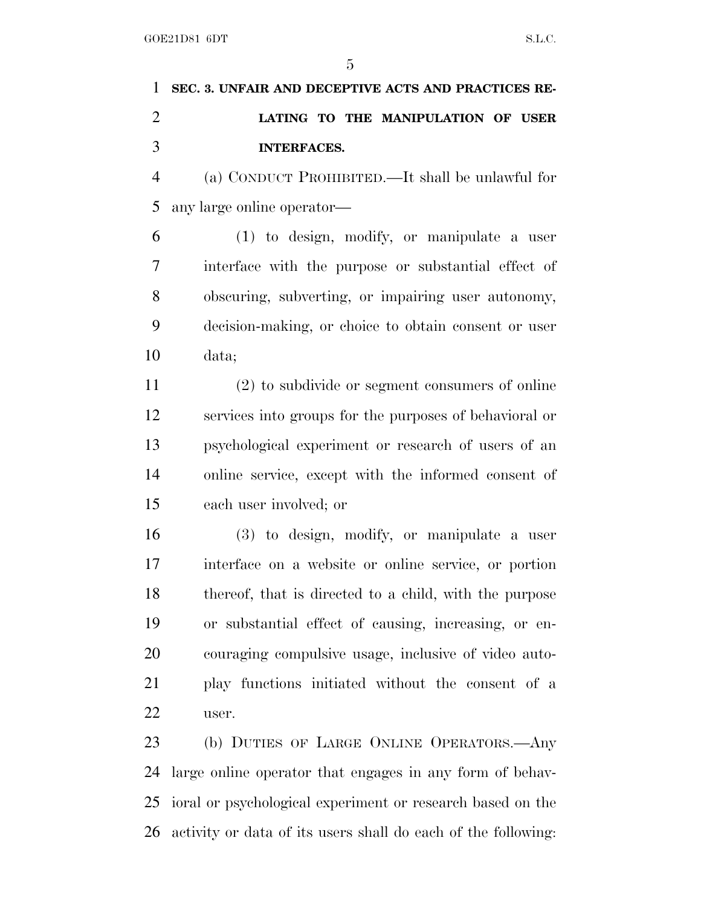|               | 1 SEC. 3. UNFAIR AND DECEPTIVE ACTS AND PRACTICES RE- |
|---------------|-------------------------------------------------------|
| $\mathcal{D}$ | LATING TO THE MANIPULATION OF USER                    |
|               | INTERFACES.                                           |

 (a) CONDUCT PROHIBITED.—It shall be unlawful for any large online operator—

 (1) to design, modify, or manipulate a user interface with the purpose or substantial effect of obscuring, subverting, or impairing user autonomy, decision-making, or choice to obtain consent or user data;

 (2) to subdivide or segment consumers of online services into groups for the purposes of behavioral or psychological experiment or research of users of an online service, except with the informed consent of each user involved; or

 (3) to design, modify, or manipulate a user interface on a website or online service, or portion thereof, that is directed to a child, with the purpose or substantial effect of causing, increasing, or en- couraging compulsive usage, inclusive of video auto- play functions initiated without the consent of a user.

 (b) DUTIES OF LARGE ONLINE OPERATORS.—Any large online operator that engages in any form of behav- ioral or psychological experiment or research based on the activity or data of its users shall do each of the following: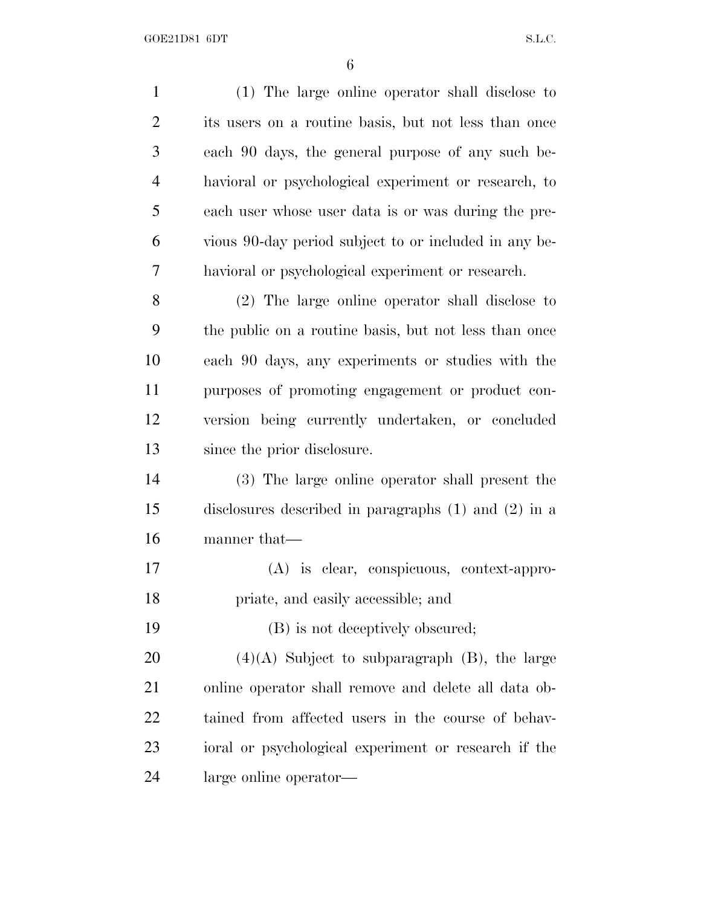| $\mathbf{1}$   | (1) The large online operator shall disclose to          |
|----------------|----------------------------------------------------------|
| $\overline{2}$ | its users on a routine basis, but not less than once     |
| 3              | each 90 days, the general purpose of any such be-        |
| $\overline{4}$ | havioral or psychological experiment or research, to     |
| 5              | each user whose user data is or was during the pre-      |
| 6              | vious 90-day period subject to or included in any be-    |
| 7              | havioral or psychological experiment or research.        |
| 8              | (2) The large online operator shall disclose to          |
| 9              | the public on a routine basis, but not less than once    |
| 10             | each 90 days, any experiments or studies with the        |
| 11             | purposes of promoting engagement or product con-         |
| 12             | version being currently undertaken, or concluded         |
| 13             | since the prior disclosure.                              |
| 14             | (3) The large online operator shall present the          |
| 15             | disclosures described in paragraphs $(1)$ and $(2)$ in a |
| 16             | manner that—                                             |
| 17             | (A) is clear, conspicuous, context-appro-                |
| 18             | priate, and easily accessible; and                       |
| 19             | (B) is not deceptively obscured;                         |
| 20             | $(4)(A)$ Subject to subparagraph $(B)$ , the large       |
| 21             | online operator shall remove and delete all data ob-     |
| 22             | tained from affected users in the course of behav-       |
| 23             | ioral or psychological experiment or research if the     |
| 24             | large online operator—                                   |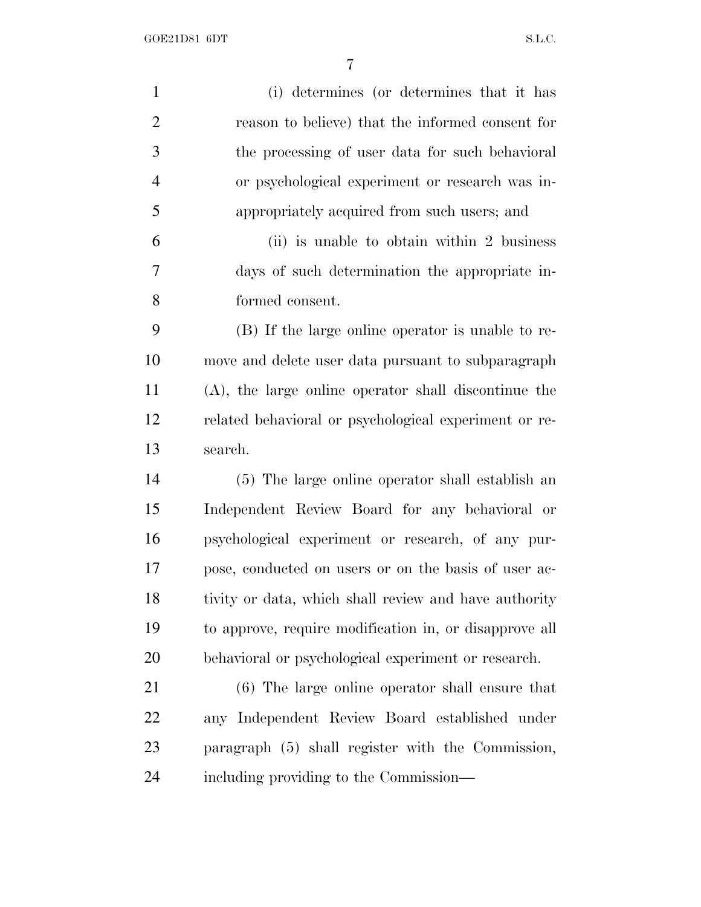GOE21D81 6DT S.L.C.

| $\mathbf{1}$   | (i) determines (or determines that it has               |
|----------------|---------------------------------------------------------|
| $\overline{2}$ | reason to believe) that the informed consent for        |
| 3              | the processing of user data for such behavioral         |
| $\overline{4}$ | or psychological experiment or research was in-         |
| 5              | appropriately acquired from such users; and             |
| 6              | (ii) is unable to obtain within 2 business              |
| 7              | days of such determination the appropriate in-          |
| 8              | formed consent.                                         |
| 9              | (B) If the large online operator is unable to re-       |
| 10             | move and delete user data pursuant to subparagraph      |
| 11             | $(A)$ , the large online operator shall discontinue the |
| 12             | related behavioral or psychological experiment or re-   |
| 13             | search.                                                 |
| 14             | (5) The large online operator shall establish an        |
| 15             | Independent Review Board for any behavioral or          |
| 16             | psychological experiment or research, of any pur-       |
| 17             | pose, conducted on users or on the basis of user ac-    |
| 18             | tivity or data, which shall review and have authority   |
| 19             | to approve, require modification in, or disapprove all  |
| 20             | behavioral or psychological experiment or research.     |
| 21             | (6) The large online operator shall ensure that         |
| <u>22</u>      | any Independent Review Board established under          |
| 23             | paragraph (5) shall register with the Commission,       |
| 24             | including providing to the Commission—                  |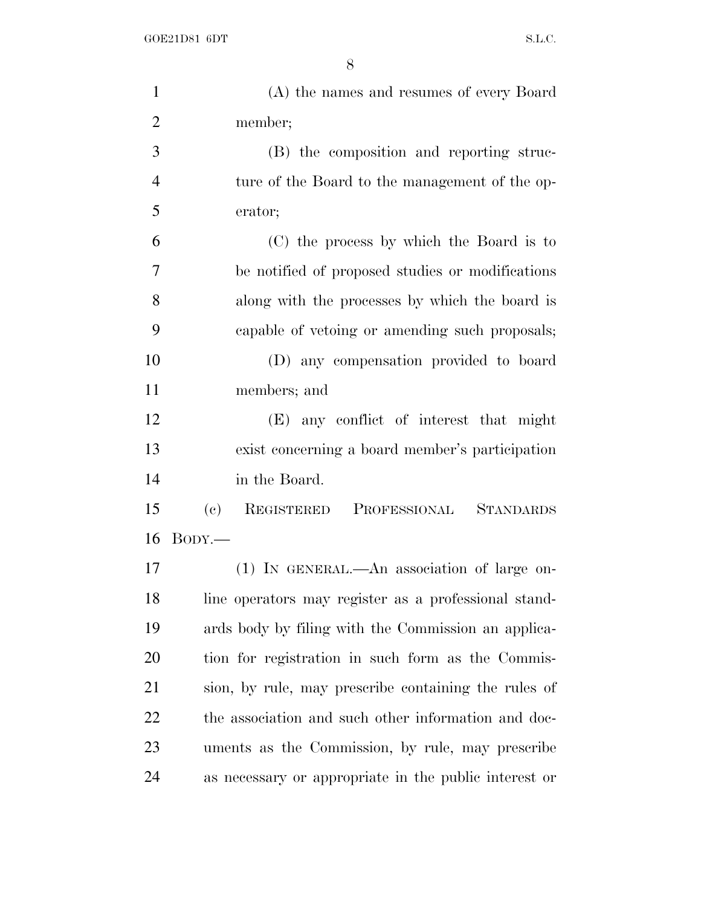| $\mathbf{1}$   | (A) the names and resumes of every Board                                  |
|----------------|---------------------------------------------------------------------------|
| $\overline{2}$ | member;                                                                   |
| 3              | (B) the composition and reporting struc-                                  |
| $\overline{4}$ | ture of the Board to the management of the op-                            |
| 5              | erator;                                                                   |
| 6              | (C) the process by which the Board is to                                  |
| $\overline{7}$ | be notified of proposed studies or modifications                          |
| 8              | along with the processes by which the board is                            |
| 9              | capable of vetoing or amending such proposals;                            |
| 10             | (D) any compensation provided to board                                    |
| 11             | members; and                                                              |
| 12             | (E) any conflict of interest that might                                   |
| 13             | exist concerning a board member's participation                           |
| 14             | in the Board.                                                             |
| 15             | $\left( \mathrm{e}\right)$<br>REGISTERED PROFESSIONAL<br><b>STANDARDS</b> |
| 16             | $B$ ODY.—                                                                 |
| 17             | (1) IN GENERAL.—An association of large on-                               |
| 18             | line operators may register as a professional stand-                      |
| 19             | ards body by filing with the Commission an applica-                       |
| 20             | tion for registration in such form as the Commis-                         |
| 21             | sion, by rule, may prescribe containing the rules of                      |
| 22             | the association and such other information and doc-                       |
| 23             | uments as the Commission, by rule, may prescribe                          |
| 24             | as necessary or appropriate in the public interest or                     |
|                |                                                                           |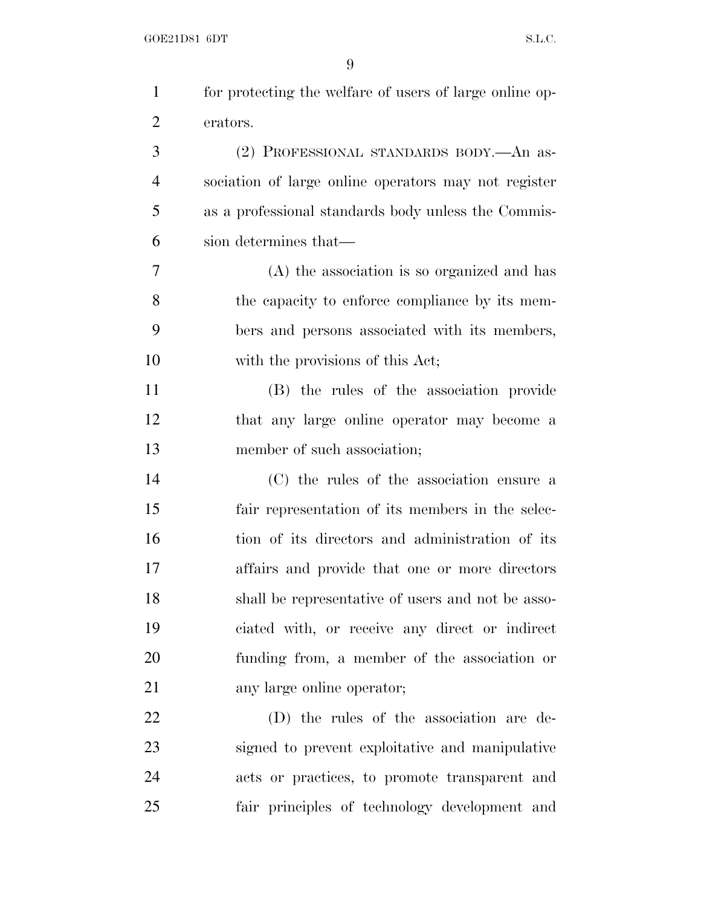| $\mathbf{1}$   | for protecting the welfare of users of large online op- |
|----------------|---------------------------------------------------------|
| $\overline{2}$ | erators.                                                |
| 3              | (2) PROFESSIONAL STANDARDS BODY. An as-                 |
| $\overline{4}$ | sociation of large online operators may not register    |
| 5              | as a professional standards body unless the Commis-     |
| 6              | sion determines that—                                   |
| 7              | (A) the association is so organized and has             |
| 8              | the capacity to enforce compliance by its mem-          |
| 9              | bers and persons associated with its members,           |
| 10             | with the provisions of this Act;                        |
| 11             | (B) the rules of the association provide                |
| 12             | that any large online operator may become a             |
| 13             | member of such association;                             |
| 14             | (C) the rules of the association ensure a               |
| 15             | fair representation of its members in the selec-        |
| 16             | tion of its directors and administration of its         |
| 17             | affairs and provide that one or more directors          |
| 18             | shall be representative of users and not be asso-       |
| 19             | ciated with, or receive any direct or indirect          |
| 20             | funding from, a member of the association or            |
| 21             | any large online operator;                              |
| 22             | (D) the rules of the association are de-                |
| 23             | signed to prevent exploitative and manipulative         |
| 24             | acts or practices, to promote transparent and           |
| 25             | fair principles of technology development and           |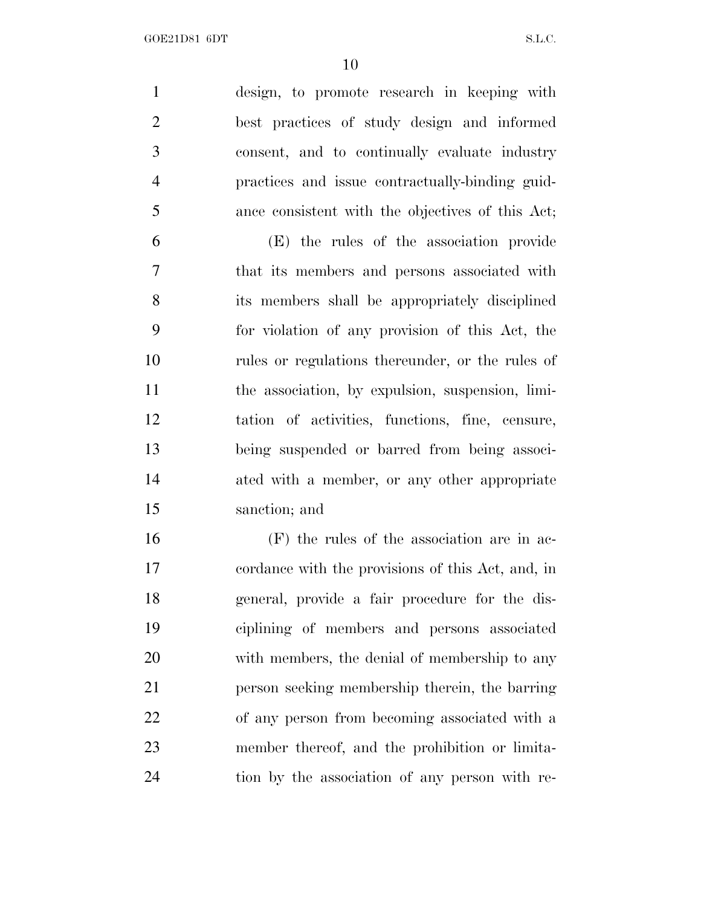design, to promote research in keeping with best practices of study design and informed consent, and to continually evaluate industry practices and issue contractually-binding guid-ance consistent with the objectives of this Act;

 (E) the rules of the association provide that its members and persons associated with its members shall be appropriately disciplined for violation of any provision of this Act, the rules or regulations thereunder, or the rules of the association, by expulsion, suspension, limi- tation of activities, functions, fine, censure, being suspended or barred from being associ-14 ated with a member, or any other appropriate sanction; and

 (F) the rules of the association are in ac- cordance with the provisions of this Act, and, in general, provide a fair procedure for the dis- ciplining of members and persons associated with members, the denial of membership to any person seeking membership therein, the barring of any person from becoming associated with a member thereof, and the prohibition or limita-tion by the association of any person with re-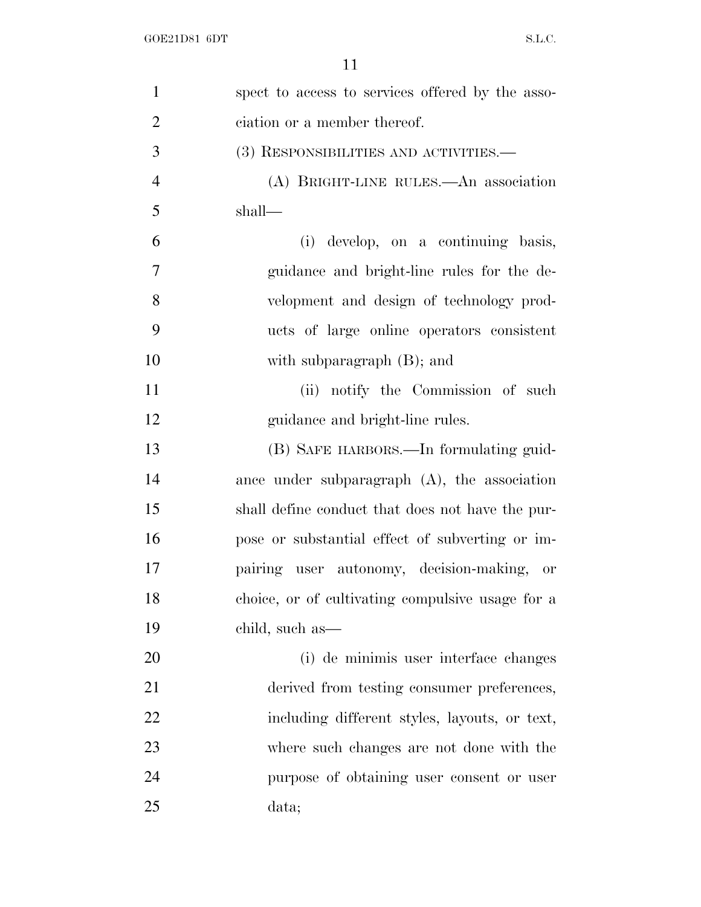| $\mathbf{1}$   | spect to access to services offered by the asso- |
|----------------|--------------------------------------------------|
| $\overline{2}$ | ciation or a member thereof.                     |
| 3              | (3) RESPONSIBILITIES AND ACTIVITIES.—            |
| $\overline{4}$ | (A) BRIGHT-LINE RULES.—An association            |
| 5              | $shall$ —                                        |
| 6              | develop, on a continuing basis,<br>(i)           |
| 7              | guidance and bright-line rules for the de-       |
| 8              | velopment and design of technology prod-         |
| 9              | ucts of large online operators consistent        |
| 10             | with subparagraph $(B)$ ; and                    |
| 11             | (ii) notify the Commission of such               |
| 12             | guidance and bright-line rules.                  |
| 13             | (B) SAFE HARBORS.—In formulating guid-           |
| 14             | ance under subparagraph $(A)$ , the association  |
| 15             | shall define conduct that does not have the pur- |
| 16             | pose or substantial effect of subverting or im-  |
| 17             | pairing user autonomy, decision-making, or       |
| 18             | choice, or of cultivating compulsive usage for a |
| 19             | child, such as—                                  |
| 20             | (i) de minimis user interface changes            |
| 21             | derived from testing consumer preferences,       |
| 22             | including different styles, layouts, or text,    |
| 23             | where such changes are not done with the         |
| 24             | purpose of obtaining user consent or user        |
| 25             | data;                                            |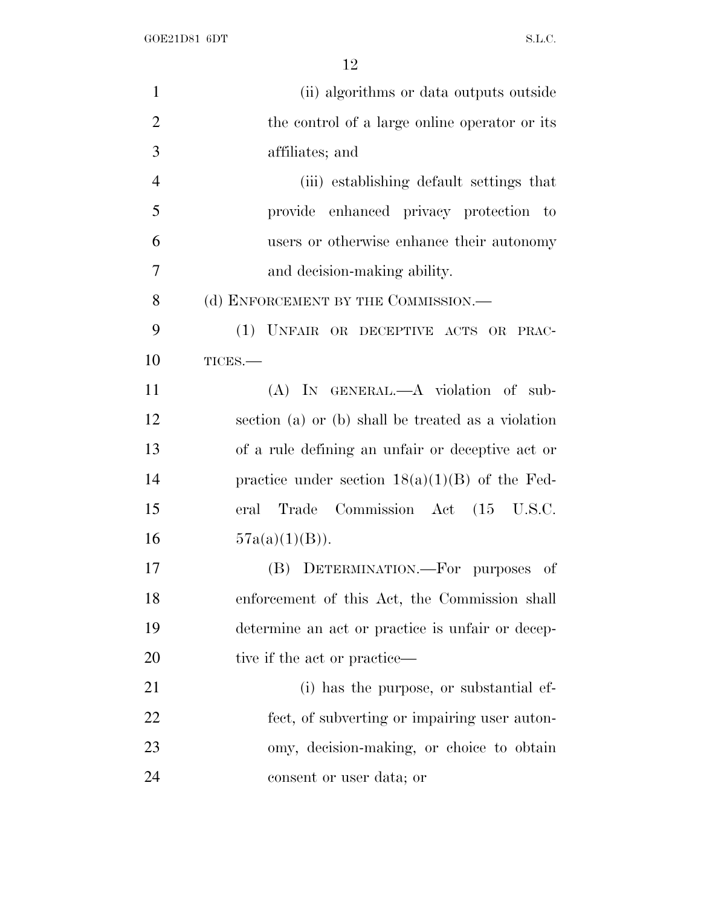GOE21D81 6DT S.L.C.

| $\mathbf{1}$   | (ii) algorithms or data outputs outside            |
|----------------|----------------------------------------------------|
| $\overline{2}$ | the control of a large online operator or its      |
| 3              | affiliates; and                                    |
| $\overline{4}$ | (iii) establishing default settings that           |
| 5              | provide enhanced privacy protection to             |
| 6              | users or otherwise enhance their autonomy          |
| 7              | and decision-making ability.                       |
| 8              | (d) ENFORCEMENT BY THE COMMISSION.—                |
| 9              | (1) UNFAIR OR DECEPTIVE ACTS OR PRAC-              |
| 10             | TICES.-                                            |
| 11             | (A) IN GENERAL.—A violation of sub-                |
| 12             | section (a) or (b) shall be treated as a violation |
| 13             | of a rule defining an unfair or deceptive act or   |
| 14             | practice under section $18(a)(1)(B)$ of the Fed-   |
| 15             | Trade Commission Act (15 U.S.C.<br>eral            |
| 16             | $57a(a)(1)(B)$ ).                                  |
| 17             | (B) DETERMINATION.—For purposes of                 |
| 18             | enforcement of this Act, the Commission shall      |
| 19             | determine an act or practice is unfair or decep-   |
| 20             | tive if the act or practice—                       |
| 21             | (i) has the purpose, or substantial ef-            |
| 22             | fect, of subverting or impairing user auton-       |
| 23             | omy, decision-making, or choice to obtain          |
| 24             | consent or user data; or                           |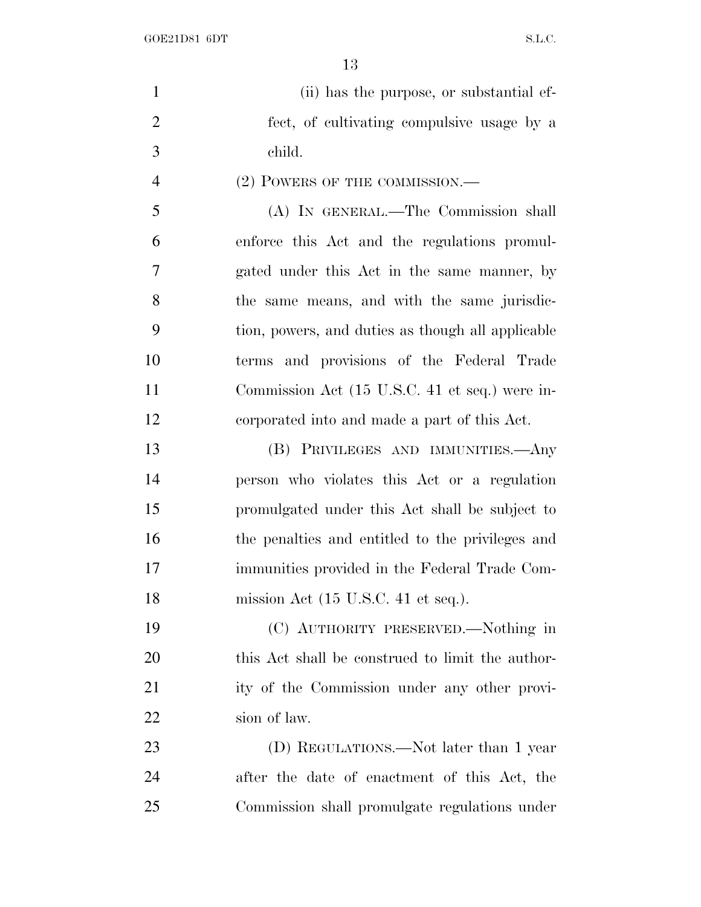GOE21D81 6DT S.L.C.

| $\mathbf{1}$   | (ii) has the purpose, or substantial ef-               |
|----------------|--------------------------------------------------------|
| $\overline{2}$ | fect, of cultivating compulsive usage by a             |
| 3              | child.                                                 |
| $\overline{4}$ | (2) POWERS OF THE COMMISSION.—                         |
| 5              | (A) IN GENERAL.—The Commission shall                   |
| 6              | enforce this Act and the regulations promul-           |
| $\overline{7}$ | gated under this Act in the same manner, by            |
| 8              | the same means, and with the same jurisdic-            |
| 9              | tion, powers, and duties as though all applicable      |
| 10             | terms and provisions of the Federal Trade              |
| 11             | Commission Act (15 U.S.C. 41 et seq.) were in-         |
| 12             | corporated into and made a part of this Act.           |
| 13             | (B) PRIVILEGES AND IMMUNITIES.—Any                     |
| 14             | person who violates this Act or a regulation           |
| 15             | promulgated under this Act shall be subject to         |
| 16             | the penalties and entitled to the privileges and       |
| 17             | immunities provided in the Federal Trade Com-          |
| 18             | mission Act $(15 \text{ U.S.C. } 41 \text{ et seq.}).$ |
| 19             | (C) AUTHORITY PRESERVED.—Nothing in                    |
| 20             | this Act shall be construed to limit the author-       |
| 21             | ity of the Commission under any other provi-           |
| 22             | sion of law.                                           |
| 23             | (D) REGULATIONS.—Not later than 1 year                 |
| 24             | after the date of enactment of this Act, the           |
| 25             | Commission shall promulgate regulations under          |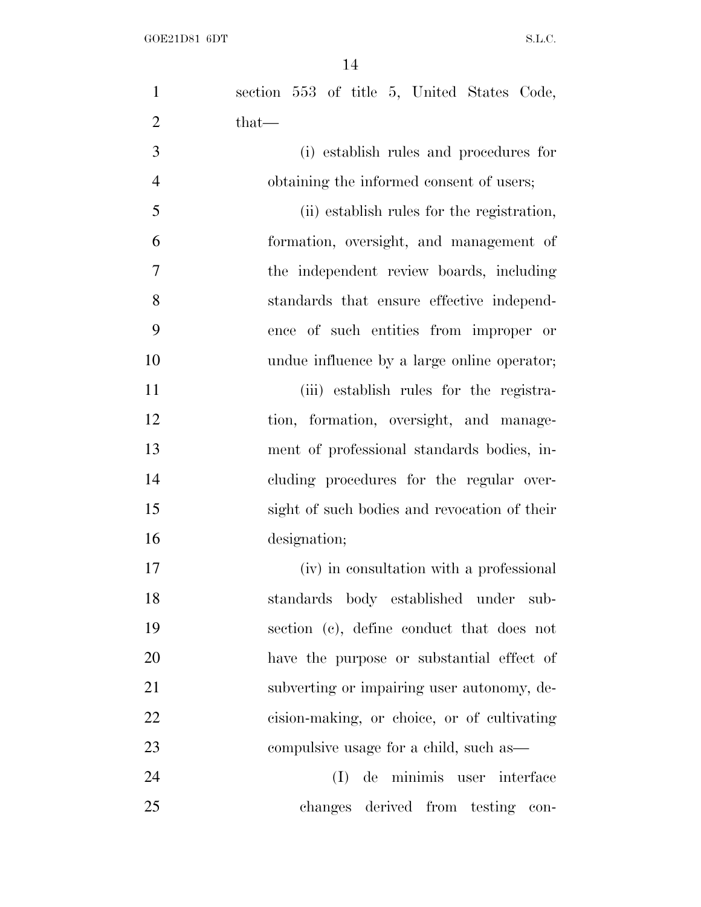| $\mathbf{1}$   | section 553 of title 5, United States Code,  |
|----------------|----------------------------------------------|
| $\overline{2}$ | $that-$                                      |
| 3              | (i) establish rules and procedures for       |
| $\overline{4}$ | obtaining the informed consent of users;     |
| 5              | (ii) establish rules for the registration,   |
| 6              | formation, oversight, and management of      |
| $\overline{7}$ | the independent review boards, including     |
| 8              | standards that ensure effective independ-    |
| 9              | ence of such entities from improper or       |
| 10             | undue influence by a large online operator;  |
| 11             | (iii) establish rules for the registra-      |
| 12             | tion, formation, oversight, and manage-      |
| 13             | ment of professional standards bodies, in-   |
| 14             | cluding procedures for the regular over-     |
| 15             | sight of such bodies and revocation of their |
| 16             | designation;                                 |
| 17             | (iv) in consultation with a professional     |
| 18             | standards body established under sub-        |
| 19             | section (c), define conduct that does not    |
| 20             | have the purpose or substantial effect of    |
| 21             | subverting or impairing user autonomy, de-   |
| 22             | cision-making, or choice, or of cultivating  |
| 23             | compulsive usage for a child, such as—       |
| 24             | de minimis user interface<br>(I)             |
| 25             | changes derived from testing con-            |